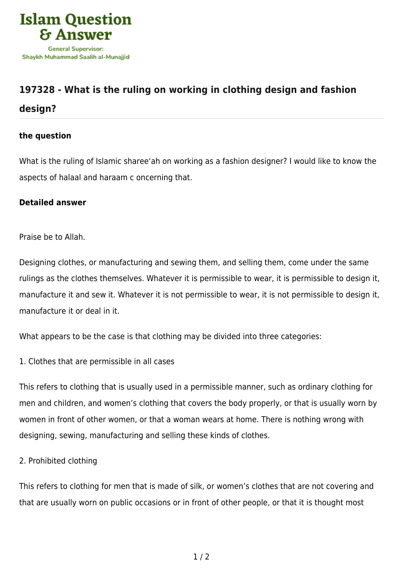

## **[197328 - What is the ruling on working in clothing design and fashion](https://islamqa.com/en/answers/197328/what-is-the-ruling-on-working-in-clothing-design-and-fashion-design) [design?](https://islamqa.com/en/answers/197328/what-is-the-ruling-on-working-in-clothing-design-and-fashion-design)**

## **the question**

What is the ruling of Islamic sharee'ah on working as a fashion designer? I would like to know the aspects of halaal and haraam c oncerning that.

## **Detailed answer**

Praise be to Allah.

Designing clothes, or manufacturing and sewing them, and selling them, come under the same rulings as the clothes themselves. Whatever it is permissible to wear, it is permissible to design it, manufacture it and sew it. Whatever it is not permissible to wear, it is not permissible to design it, manufacture it or deal in it.

What appears to be the case is that clothing may be divided into three categories:

1. Clothes that are permissible in all cases

This refers to clothing that is usually used in a permissible manner, such as ordinary clothing for men and children, and women's clothing that covers the body properly, or that is usually worn by women in front of other women, or that a woman wears at home. There is nothing wrong with designing, sewing, manufacturing and selling these kinds of clothes.

2. Prohibited clothing

This refers to clothing for men that is made of silk, or women's clothes that are not covering and that are usually worn on public occasions or in front of other people, or that it is thought most